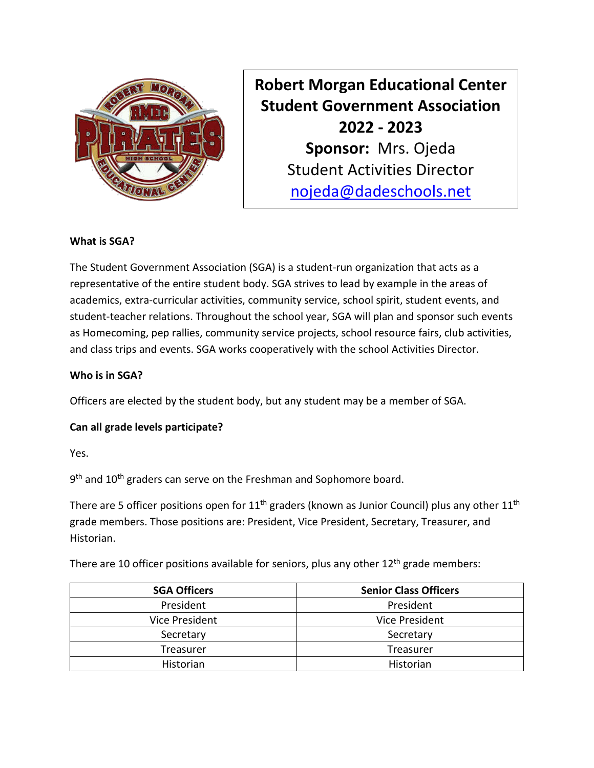

**Robert Morgan Educational Center Student Government Association 2022 - 2023 Sponsor:** Mrs. Ojeda Student Activities Director [nojeda@dadeschools.net](mailto:nojeda@dadeschools.net)

## **What is SGA?**

The Student Government Association (SGA) is a student-run organization that acts as a representative of the entire student body. SGA strives to lead by example in the areas of academics, extra-curricular activities, community service, school spirit, student events, and student-teacher relations. Throughout the school year, SGA will plan and sponsor such events as Homecoming, pep rallies, community service projects, school resource fairs, club activities, and class trips and events. SGA works cooperatively with the school Activities Director.

## **Who is in SGA?**

Officers are elected by the student body, but any student may be a member of SGA.

## **Can all grade levels participate?**

Yes.

9<sup>th</sup> and 10<sup>th</sup> graders can serve on the Freshman and Sophomore board.

There are 5 officer positions open for  $11<sup>th</sup>$  graders (known as Junior Council) plus any other  $11<sup>th</sup>$ grade members. Those positions are: President, Vice President, Secretary, Treasurer, and Historian.

There are 10 officer positions available for seniors, plus any other  $12<sup>th</sup>$  grade members:

| <b>SGA Officers</b>   | <b>Senior Class Officers</b> |
|-----------------------|------------------------------|
| President             | President                    |
| <b>Vice President</b> | <b>Vice President</b>        |
| Secretary             | Secretary                    |
| Treasurer             | Treasurer                    |
| Historian             | Historian                    |